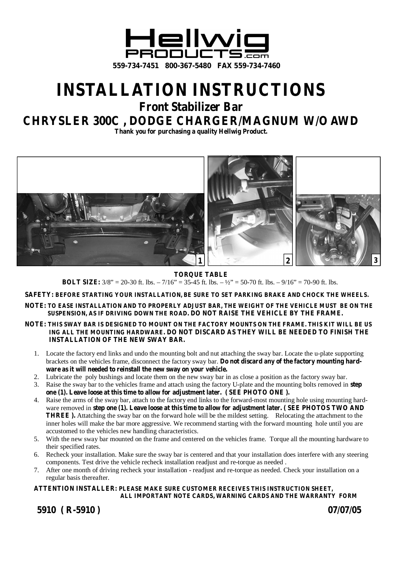

## **INSTALLATION INSTRUCTIONS Front Stabilizer Bar CHRYSLER 300C , DODGE CHARGER/MAGNUM W/O AWD**

**Thank you for purchasing a quality Hellwig Product.**



**TORQUE TABLE**

**BOLT SIZE:**  $3/8$ " = 20-30 ft. lbs. – 7/16" = 35-45 ft. lbs. – ½" = 50-70 ft. lbs. – 9/16" = 70-90 ft. lbs.

**SAFETY: BEFORE STARTING YOUR INSTALLATION, BE SURE TO SET PARKING BRAKE AND CHOCK THE WHEELS.**

- **NOTE: TO EASE INSTALLATION AND TO PROPERLY ADJUST BAR, THE WEIGHT OF THE VEHICLE MUST BE ON THE SUSPENSION, AS IF DRIVING DOWN THE ROAD. DO NOT RAISE THE VEHICLE BY THE FRAME.**
- NOTE: THIS SWAY BAR IS DESIGNED TO MOUNT ON THE FACTORY MOUNTS ON THE FRAME. THIS KIT WILL BE US **ING ALL THE MOUNTING HARDWARE. DO NOT DISCARD AS THEY WILL BE NEEDED TO FINISH THE INSTALLATION OF THE NEW SWAY BAR.**
	- 1. Locate the factory end links and undo the mounting bolt and nut attaching the sway bar. Locate the u-plate supporting brackets on the vehicles frame, disconnect the factory sway bar. **Do not discard any of the factory mounting hardware as it will needed to reinstall the new sway on your vehicle.**
	- 2. Lubricate the poly bushings and locate them on the new sway bar in as close a position as the factory sway bar.
	- 3. Raise the sway bar to the vehicles frame and attach using the factory U-plate and the mounting bolts removed in **step one (1). Leave loose at this time to allow for adjustment later. ( SEE PHOTO ONE ).**
	- 4. Raise the arms of the sway bar, attach to the factory end links to the forward-most mounting hole using mounting hardware removed in step one (1). Leave loose at this time to allow for adjustment later. (SEE PHOTOS TWO AND **THREE ).** Attatching the sway bar on the forward hole will be the mildest setting. Relocating the attachment to the inner holes will make the bar more aggressive. We recommend starting with the forward mounting hole until you are accustomed to the vehicles new handling characteristics.
	- 5. With the new sway bar mounted on the frame and centered on the vehicles frame. Torque all the mounting hardware to their specified rates.
	- 6. Recheck your installation. Make sure the sway bar is centered and that your installation does interfere with any steering components. Test drive the vehicle recheck installation readjust and re-torque as needed .
	- 7. After one month of driving recheck your installation readjust and re-torque as needed. Check your installation on a regular basis thereafter.

## **ATTENTION INSTALLER: PLEASE MAKE SURE CUSTOMER RECEIVES THIS INSTRUCTION SHEET, ALL IMPORTANT NOTE CARDS, WARNING CARDS AND THE WARRANTY FORM**

**5910 ( R-5910 ) 07/07/05**